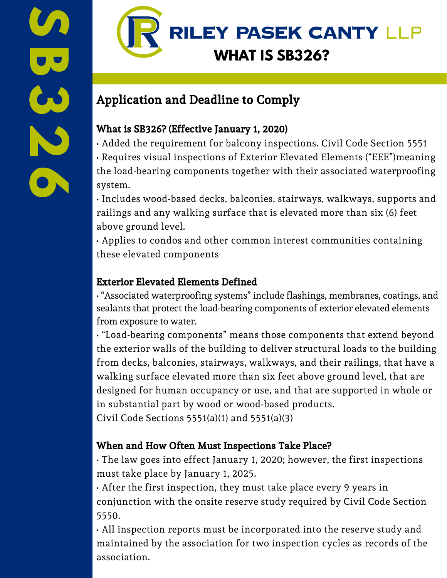

# Application and Deadline to Comply

### What is SB326? (Effective January 1, 2020)

- Added the requirement for balcony inspections. Civil Code Section 5551
- Requires visual inspections of Exterior Elevated Elements ("EEE")meaning the load-bearing components together with their associated waterproofing system.

• Includes wood-based decks, balconies, stairways, walkways, supports and railings and any walking surface that is elevated more than six (6) feet above ground level.

• Applies to condos and other common interest communities containing these elevated components

### Exterior Elevated Elements Defined

• "Associated waterproofing systems" include flashings, membranes, coatings, and sealants that protect the load-bearing components of exterior elevated elements from exposure to water.

• "Load-bearing components" means those components that extend beyond the exterior walls of the building to deliver structural loads to the building from decks, balconies, stairways, walkways, and their railings, that have a walking surface elevated more than six feet above ground level, that are designed for human occupancy or use, and that are supported in whole or in substantial part by wood or wood-based products.

Civil Code Sections 5551(a)(1) and 5551(a)(3)

### When and How Often Must Inspections Take Place?

• The law goes into effect January 1, 2020; however, the first inspections must take place by January 1, 2025.

• After the first inspection, they must take place every 9 years in conjunction with the onsite reserve study required by Civil Code Section 5550.

• All inspection reports must be incorporated into the reserve study and maintained by the association for two inspection cycles as records of the association.